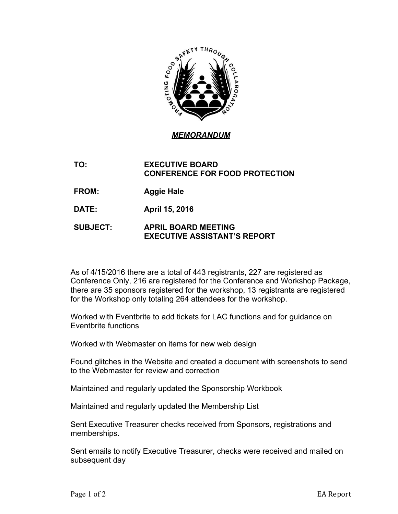

*MEMORANDUM*

**TO: EXECUTIVE BOARD CONFERENCE FOR FOOD PROTECTION**

- **FROM: Aggie Hale**
- **DATE: April 15, 2016**

## **SUBJECT: APRIL BOARD MEETING EXECUTIVE ASSISTANT'S REPORT**

As of 4/15/2016 there are a total of 443 registrants, 227 are registered as Conference Only, 216 are registered for the Conference and Workshop Package, there are 35 sponsors registered for the workshop, 13 registrants are registered for the Workshop only totaling 264 attendees for the workshop.

Worked with Eventbrite to add tickets for LAC functions and for guidance on Eventbrite functions

Worked with Webmaster on items for new web design

Found glitches in the Website and created a document with screenshots to send to the Webmaster for review and correction

Maintained and regularly updated the Sponsorship Workbook

Maintained and regularly updated the Membership List

Sent Executive Treasurer checks received from Sponsors, registrations and memberships.

Sent emails to notify Executive Treasurer, checks were received and mailed on subsequent day